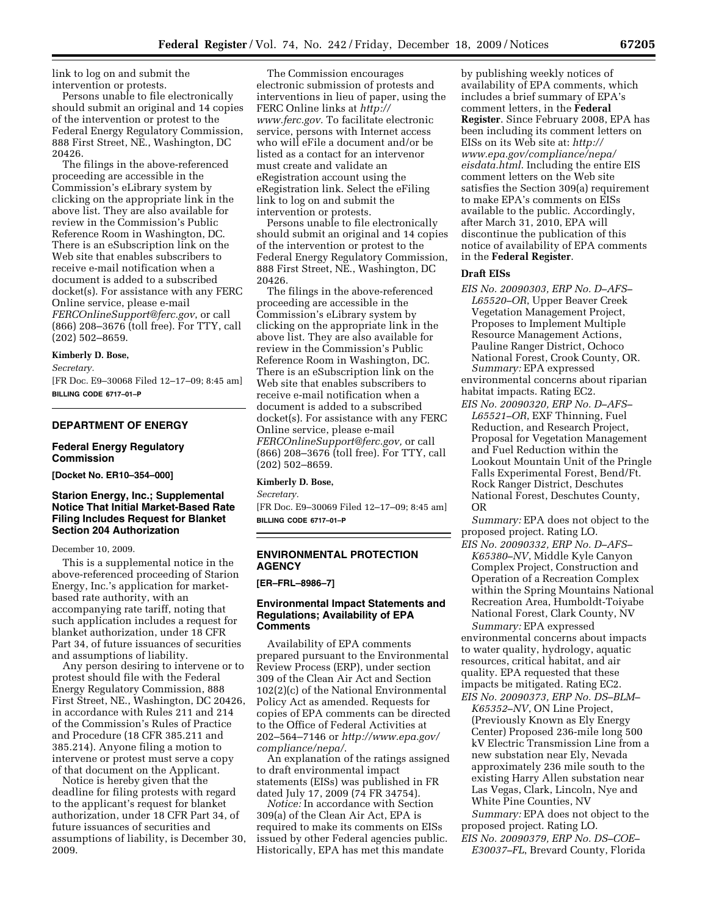link to log on and submit the intervention or protests.

Persons unable to file electronically should submit an original and 14 copies of the intervention or protest to the Federal Energy Regulatory Commission, 888 First Street, NE., Washington, DC 20426.

The filings in the above-referenced proceeding are accessible in the Commission's eLibrary system by clicking on the appropriate link in the above list. They are also available for review in the Commission's Public Reference Room in Washington, DC. There is an eSubscription link on the Web site that enables subscribers to receive e-mail notification when a document is added to a subscribed docket(s). For assistance with any FERC Online service, please e-mail *FERCOnlineSupport@ferc.gov*, or call (866) 208–3676 (toll free). For TTY, call (202) 502–8659.

#### **Kimberly D. Bose,**

*Secretary.* 

[FR Doc. E9–30068 Filed 12–17–09; 8:45 am] **BILLING CODE 6717–01–P** 

### **DEPARTMENT OF ENERGY**

#### **Federal Energy Regulatory Commission**

**[Docket No. ER10–354–000]** 

# **Starion Energy, Inc.; Supplemental Notice That Initial Market-Based Rate Filing Includes Request for Blanket Section 204 Authorization**

#### December 10, 2009.

This is a supplemental notice in the above-referenced proceeding of Starion Energy, Inc.'s application for marketbased rate authority, with an accompanying rate tariff, noting that such application includes a request for blanket authorization, under 18 CFR Part 34, of future issuances of securities and assumptions of liability.

Any person desiring to intervene or to protest should file with the Federal Energy Regulatory Commission, 888 First Street, NE., Washington, DC 20426, in accordance with Rules 211 and 214 of the Commission's Rules of Practice and Procedure (18 CFR 385.211 and 385.214). Anyone filing a motion to intervene or protest must serve a copy of that document on the Applicant.

Notice is hereby given that the deadline for filing protests with regard to the applicant's request for blanket authorization, under 18 CFR Part 34, of future issuances of securities and assumptions of liability, is December 30, 2009.

The Commission encourages electronic submission of protests and interventions in lieu of paper, using the FERC Online links at *http:// www.ferc.gov.* To facilitate electronic service, persons with Internet access who will eFile a document and/or be listed as a contact for an intervenor must create and validate an eRegistration account using the eRegistration link. Select the eFiling link to log on and submit the intervention or protests.

Persons unable to file electronically should submit an original and 14 copies of the intervention or protest to the Federal Energy Regulatory Commission, 888 First Street, NE., Washington, DC 20426.

The filings in the above-referenced proceeding are accessible in the Commission's eLibrary system by clicking on the appropriate link in the above list. They are also available for review in the Commission's Public Reference Room in Washington, DC. There is an eSubscription link on the Web site that enables subscribers to receive e-mail notification when a document is added to a subscribed docket(s). For assistance with any FERC Online service, please e-mail *FERCOnlineSupport@ferc.gov,* or call (866) 208–3676 (toll free). For TTY, call (202) 502–8659.

#### **Kimberly D. Bose,**

*Secretary.* 

[FR Doc. E9–30069 Filed 12–17–09; 8:45 am] **BILLING CODE 6717–01–P** 

# **ENVIRONMENTAL PROTECTION AGENCY**

**[ER–FRL–8986–7]** 

# **Environmental Impact Statements and Regulations; Availability of EPA Comments**

Availability of EPA comments prepared pursuant to the Environmental Review Process (ERP), under section 309 of the Clean Air Act and Section 102(2)(c) of the National Environmental Policy Act as amended. Requests for copies of EPA comments can be directed to the Office of Federal Activities at 202–564–7146 or *http://www.epa.gov/ compliance/nepa/*.

An explanation of the ratings assigned to draft environmental impact statements (EISs) was published in FR dated July 17, 2009 (74 FR 34754).

*Notice:* In accordance with Section 309(a) of the Clean Air Act, EPA is required to make its comments on EISs issued by other Federal agencies public. Historically, EPA has met this mandate

by publishing weekly notices of availability of EPA comments, which includes a brief summary of EPA's comment letters, in the **Federal Register**. Since February 2008, EPA has been including its comment letters on EISs on its Web site at: *http:// www.epa.gov/compliance/nepa/ eisdata.html*. Including the entire EIS comment letters on the Web site satisfies the Section 309(a) requirement to make EPA's comments on EISs available to the public. Accordingly, after March 31, 2010, EPA will discontinue the publication of this notice of availability of EPA comments in the **Federal Register**.

### **Draft EISs**

*EIS No. 20090303, ERP No. D–AFS– L65520–OR*, Upper Beaver Creek Vegetation Management Project, Proposes to Implement Multiple Resource Management Actions, Pauline Ranger District, Ochoco National Forest, Crook County, OR. *Summary:* EPA expressed environmental concerns about riparian habitat impacts. Rating EC2.

*EIS No. 20090320, ERP No. D–AFS– L65521–OR*, EXF Thinning, Fuel Reduction, and Research Project, Proposal for Vegetation Management and Fuel Reduction within the Lookout Mountain Unit of the Pringle Falls Experimental Forest, Bend/Ft. Rock Ranger District, Deschutes National Forest, Deschutes County, OR

*Summary:* EPA does not object to the proposed project. Rating LO.

*EIS No. 20090332, ERP No. D–AFS– K65380–NV*, Middle Kyle Canyon Complex Project, Construction and Operation of a Recreation Complex within the Spring Mountains National Recreation Area, Humboldt-Toiyabe National Forest, Clark County, NV *Summary:* EPA expressed

environmental concerns about impacts to water quality, hydrology, aquatic resources, critical habitat, and air quality. EPA requested that these impacts be mitigated. Rating EC2.

*EIS No. 20090373, ERP No. DS–BLM– K65352–NV*, ON Line Project, (Previously Known as Ely Energy Center) Proposed 236-mile long 500 kV Electric Transmission Line from a new substation near Ely, Nevada approximately 236 mile south to the existing Harry Allen substation near Las Vegas, Clark, Lincoln, Nye and White Pine Counties, NV

*Summary:* EPA does not object to the proposed project. Rating LO.

*EIS No. 20090379, ERP No. DS–COE– E30037–FL*, Brevard County, Florida